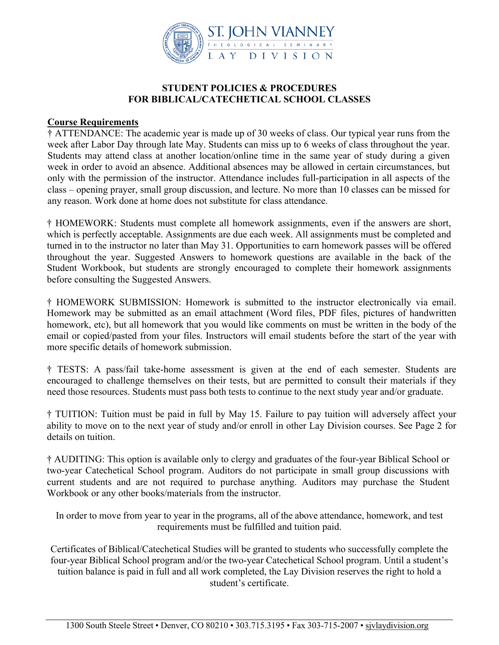

### **STUDENT POLICIES & PROCEDURES FOR BIBLICAL/CATECHETICAL SCHOOL CLASSES**

### **Course Requirements**

† ATTENDANCE: The academic year is made up of 30 weeks of class. Our typical year runs from the week after Labor Day through late May. Students can miss up to 6 weeks of class throughout the year. Students may attend class at another location/online time in the same year of study during a given week in order to avoid an absence. Additional absences may be allowed in certain circumstances, but only with the permission of the instructor. Attendance includes full-participation in all aspects of the class – opening prayer, small group discussion, and lecture. No more than 10 classes can be missed for any reason. Work done at home does not substitute for class attendance.

† HOMEWORK: Students must complete all homework assignments, even if the answers are short, which is perfectly acceptable. Assignments are due each week. All assignments must be completed and turned in to the instructor no later than May 31. Opportunities to earn homework passes will be offered throughout the year. Suggested Answers to homework questions are available in the back of the Student Workbook, but students are strongly encouraged to complete their homework assignments before consulting the Suggested Answers.

† HOMEWORK SUBMISSION: Homework is submitted to the instructor electronically via email. Homework may be submitted as an email attachment (Word files, PDF files, pictures of handwritten homework, etc), but all homework that you would like comments on must be written in the body of the email or copied/pasted from your files. Instructors will email students before the start of the year with more specific details of homework submission.

† TESTS: A pass/fail take-home assessment is given at the end of each semester. Students are encouraged to challenge themselves on their tests, but are permitted to consult their materials if they need those resources. Students must pass both tests to continue to the next study year and/or graduate.

† TUITION: Tuition must be paid in full by May 15. Failure to pay tuition will adversely affect your ability to move on to the next year of study and/or enroll in other Lay Division courses. See Page 2 for details on tuition.

† AUDITING: This option is available only to clergy and graduates of the four-year Biblical School or two-year Catechetical School program. Auditors do not participate in small group discussions with current students and are not required to purchase anything. Auditors may purchase the Student Workbook or any other books/materials from the instructor.

In order to move from year to year in the programs, all of the above attendance, homework, and test requirements must be fulfilled and tuition paid.

Certificates of Biblical/Catechetical Studies will be granted to students who successfully complete the four-year Biblical School program and/or the two-year Catechetical School program. Until a student's tuition balance is paid in full and all work completed, the Lay Division reserves the right to hold a student's certificate.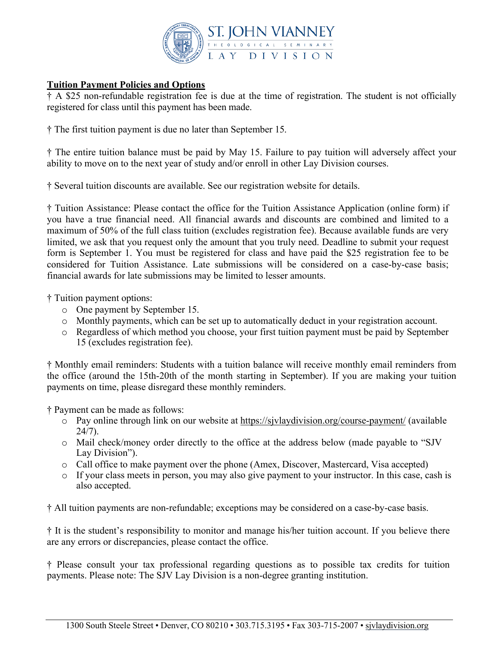

# **Tuition Payment Policies and Options**

† A \$25 non-refundable registration fee is due at the time of registration. The student is not officially registered for class until this payment has been made.

† The first tuition payment is due no later than September 15.

† The entire tuition balance must be paid by May 15. Failure to pay tuition will adversely affect your ability to move on to the next year of study and/or enroll in other Lay Division courses.

† Several tuition discounts are available. See our registration website for details.

† Tuition Assistance: Please contact the office for the Tuition Assistance Application (online form) if you have a true financial need. All financial awards and discounts are combined and limited to a maximum of 50% of the full class tuition (excludes registration fee). Because available funds are very limited, we ask that you request only the amount that you truly need. Deadline to submit your request form is September 1. You must be registered for class and have paid the \$25 registration fee to be considered for Tuition Assistance. Late submissions will be considered on a case-by-case basis; financial awards for late submissions may be limited to lesser amounts.

† Tuition payment options:

- o One payment by September 15.
- o Monthly payments, which can be set up to automatically deduct in your registration account.
- o Regardless of which method you choose, your first tuition payment must be paid by September 15 (excludes registration fee).

† Monthly email reminders: Students with a tuition balance will receive monthly email reminders from the office (around the 15th-20th of the month starting in September). If you are making your tuition payments on time, please disregard these monthly reminders.

† Payment can be made as follows:

- o Pay online through link on our website at https://sjvlaydivision.org/course-payment/ (available  $24/7$ ).
- o Mail check/money order directly to the office at the address below (made payable to "SJV Lay Division").
- o Call office to make payment over the phone (Amex, Discover, Mastercard, Visa accepted)
- o If your class meets in person, you may also give payment to your instructor. In this case, cash is also accepted.

† All tuition payments are non-refundable; exceptions may be considered on a case-by-case basis.

† It is the student's responsibility to monitor and manage his/her tuition account. If you believe there are any errors or discrepancies, please contact the office.

† Please consult your tax professional regarding questions as to possible tax credits for tuition payments. Please note: The SJV Lay Division is a non-degree granting institution.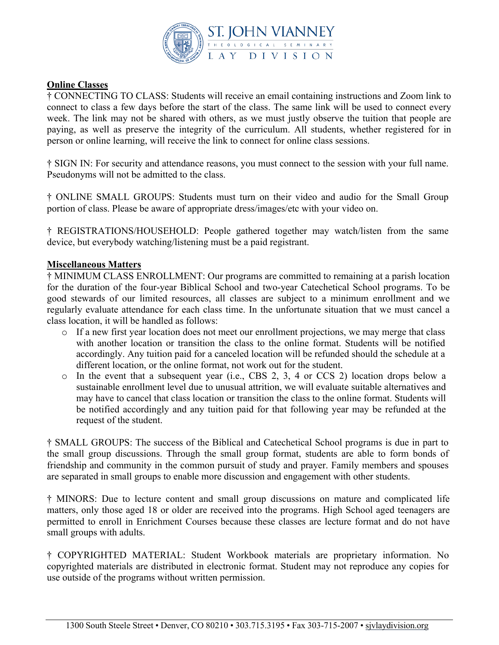

## **Online Classes**

† CONNECTING TO CLASS: Students will receive an email containing instructions and Zoom link to connect to class a few days before the start of the class. The same link will be used to connect every week. The link may not be shared with others, as we must justly observe the tuition that people are paying, as well as preserve the integrity of the curriculum. All students, whether registered for in person or online learning, will receive the link to connect for online class sessions.

† SIGN IN: For security and attendance reasons, you must connect to the session with your full name. Pseudonyms will not be admitted to the class.

† ONLINE SMALL GROUPS: Students must turn on their video and audio for the Small Group portion of class. Please be aware of appropriate dress/images/etc with your video on.

† REGISTRATIONS/HOUSEHOLD: People gathered together may watch/listen from the same device, but everybody watching/listening must be a paid registrant.

## **Miscellaneous Matters**

† MINIMUM CLASS ENROLLMENT: Our programs are committed to remaining at a parish location for the duration of the four-year Biblical School and two-year Catechetical School programs. To be good stewards of our limited resources, all classes are subject to a minimum enrollment and we regularly evaluate attendance for each class time. In the unfortunate situation that we must cancel a class location, it will be handled as follows:

- o If a new first year location does not meet our enrollment projections, we may merge that class with another location or transition the class to the online format. Students will be notified accordingly. Any tuition paid for a canceled location will be refunded should the schedule at a different location, or the online format, not work out for the student.
- o In the event that a subsequent year (i.e., CBS 2, 3, 4 or CCS 2) location drops below a sustainable enrollment level due to unusual attrition, we will evaluate suitable alternatives and may have to cancel that class location or transition the class to the online format. Students will be notified accordingly and any tuition paid for that following year may be refunded at the request of the student.

† SMALL GROUPS: The success of the Biblical and Catechetical School programs is due in part to the small group discussions. Through the small group format, students are able to form bonds of friendship and community in the common pursuit of study and prayer. Family members and spouses are separated in small groups to enable more discussion and engagement with other students.

† MINORS: Due to lecture content and small group discussions on mature and complicated life matters, only those aged 18 or older are received into the programs. High School aged teenagers are permitted to enroll in Enrichment Courses because these classes are lecture format and do not have small groups with adults.

† COPYRIGHTED MATERIAL: Student Workbook materials are proprietary information. No copyrighted materials are distributed in electronic format. Student may not reproduce any copies for use outside of the programs without written permission.